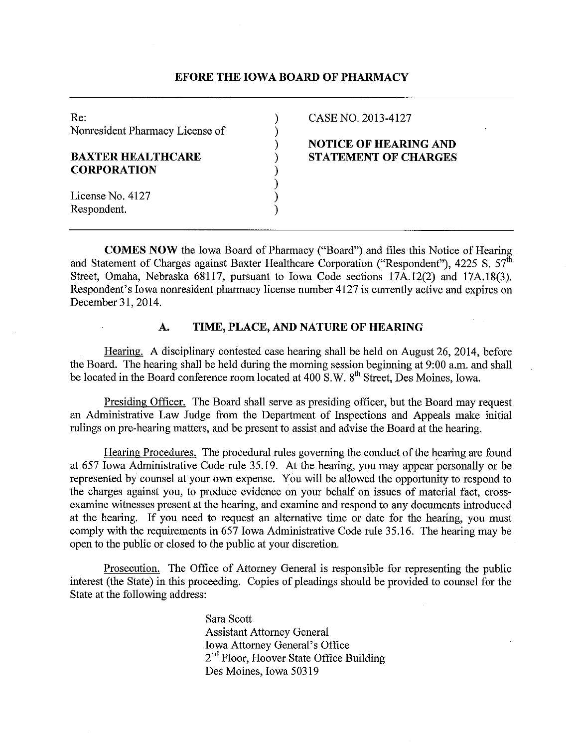## **EFORE THE IOWA BOARD OF PHARMACY**

| Re:                             |  |
|---------------------------------|--|
| Nonresident Pharmacy License of |  |

# **CORPORATION** )

License No. 4127 Respondent.

### ) CASE NO. 2013-4127

# ) **NOTICE OF HEARING AND BAXTER HEALTHCARE** ) **STATEMENT OF CHARGES**

**COMES NOW** the Iowa Board of Pharmacy ("Board") and files this Notice of Hearing and Statement of Charges against Baxter Healthcare Corporation ("Respondent"), 4225 S. 57<sup>th</sup> Street, Omaha, Nebraska 68117, pursuant to Iowa Code sections 17A.12(2) and 17A.18(3). Respondent's Iowa nomesident pharmacy license number 4127 is currently active and expires on December 31, 2014.

) ) ) )

# **A. TIME, PLACE, AND NATURE OF HEARING**

Hearing. A disciplinary contested case hearing shall be held on August 26, 2014, before the Board. The hearing shall be held during the morning session beginning at 9:00 a.m. and shall be located in the Board conference room located at 400 S.W. 8<sup>th</sup> Street, Des Moines, Iowa.

Presiding Officer. The Board shall serve as presiding officer, but the Board may request an Administrative Law Judge from the Department of Inspections and Appeals make initial rulings on pre-hearing matters, and be present to assist and advise the Board at the hearing.

Hearing Procedures. The procedural rules governing the conduct of the hearing are found at 657 Iowa Administrative Code rule 35.19. At the hearing, you may appear personally or be represented by counsel at your own expense. You will be allowed the opportunity to respond to the charges against you, to produce evidence on your behalf on issues of material fact, crossexamine witnesses present at the hearing, and examine and respond to any documents introduced at the hearing. If you need to request an alternative time or date for the hearing, you must comply with the requirements in 657 Iowa Administrative Code rule 35.16. The hearing may be open to the public or closed to the public at your discretion.

Prosecution. The Office of Attorney General is responsible for representing the public interest (the State) in this proceeding. Copies of pleadings should be provided to counsel for the State at the following address:

> Sara Scott Assistant Attorney General Iowa Attorney General's Office 2<sup>nd</sup> Floor, Hoover State Office Building Des Moines, Iowa 50319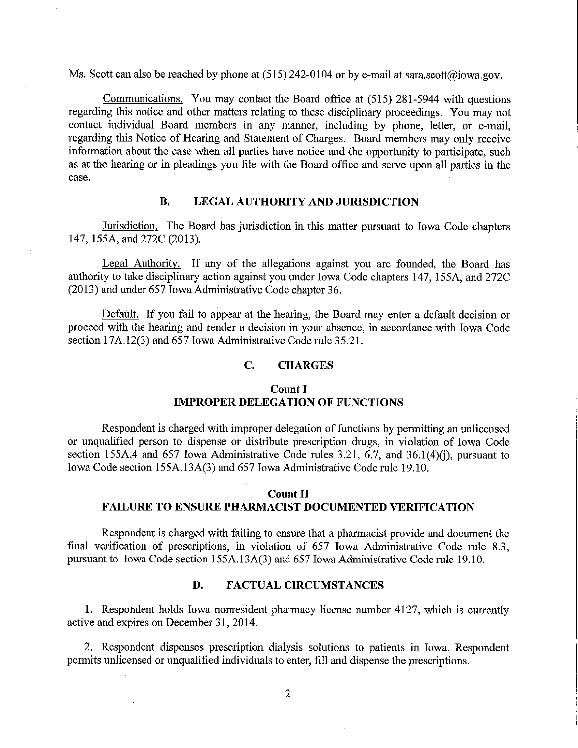Ms. Scott can also be reached by phone at (515) 242-0104 or by e-mail at sara.scott@iowa.gov.

Communications. You may contact the Board office at (515) 281-5944 with questions regarding this notice and other matters relating to these disciplinary proceedings. You may not contact individual Board members in any manner, including by phone, letter, or e-mail, regarding this Notice of Hearing and Statement of Charges. Board members may only receive information about the case when all parties have notice and the opportunity to participate, such as at the hearing or in pleadings you file with the Board office and serve upon all parties in the case.

# **B. LEGAL AUTHORITY AND JURISDICTION**

Jurisdiction. The Board has jurisdiction in this matter pursuant to Iowa Code chapters 147, 155A, and 272C (2013).

Legal Authority. If any of the allegations against you are founded, the Board has authority to take disciplinary action against you under Iowa Code chapters 147, 155A, and 272C (2013) and under 657 Iowa Administrative Code chapter 36.

Default. If you fail to appear at the hearing, the Board may enter a default decision or proceed with the hearing and render a decision in your absence, in accordance with Iowa Code section 17A.12(3) and 657 Iowa Administrative Code rule 35.21.

# **C. CHARGES**

# **Count I IMPROPER DELEGATION OF FUNCTIONS**

Respondent is charged with improper delegation of functions by permitting an unlicensed or unqualified person to dispense or distribute prescription drugs, in violation of Iowa Code section 155A.4 and 657 Iowa Administrative Code rules 3.21, 6.7, and 36.1(4)(i), pursuant to Iowa Code section 155A.13A(3) and 657 Iowa Administrative Code rule 19.10.

# **Count II FAILURE TO ENSURE PHARMACIST DOCUMENTED VERIFICATION**

Respondent is charged with failing to ensure that a pharmacist provide and document the final verification of prescriptions, in violation of 657 Iowa Administrative Code rule 8.3, pursuant to Iowa Code section l 55A.13A(3) and 657 Iowa Administrative Code rule 19.10.

## **D. FACTUAL CIRCUMSTANCES**

1. Respondent holds Iowa nomesident pharmacy license number 4127, which is currently active and expires on December 31, 2014.

2. Respondent dispenses prescription dialysis solutions to patients in Iowa. Respondent permits unlicensed or unqualified individuals to enter, fill and dispense the prescriptions.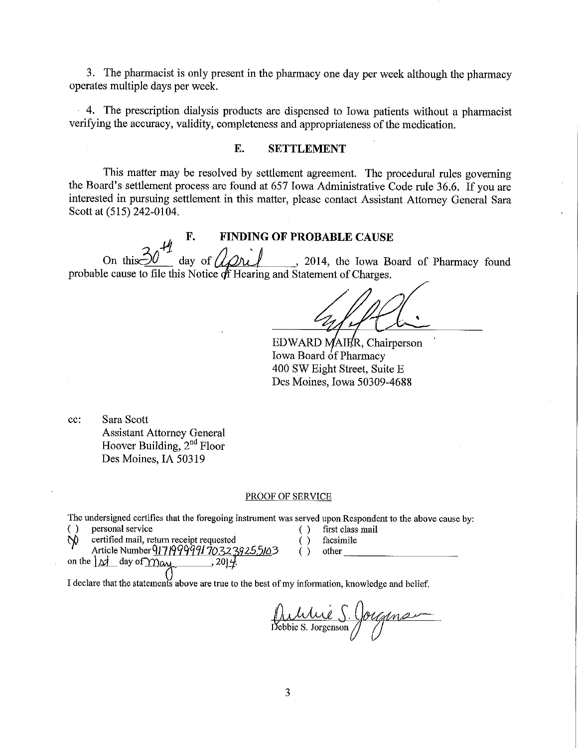3. The pharmacist is only present in the pharmacy one day per week although the pharmacy operates multiple days per week.

4. The prescription dialysis products are dispensed to Iowa patients without a pharmacist verifying the accuracy, validity, completeness and appropriateness of the medication.

# **E. SETTLEMENT**

This matter may be resolved by settlement agreement. The procedural rules governing the Board's settlement process are found at 657 Iowa Administrative Code rule 36.6. If you are interested in pursuing settlement in this matter, please contact Assistant Attorney General Sara Scott at (515) 242-0104.

**F.** FINDING OF PROBABLE CAUSE On this  $\frac{1}{20}$  day of  $\sqrt{\sqrt{2\mu}}$ , 2014, the Iowa Board of Pharmacy found probable cause to file this Notice of Hearing and Statement of Charges.

.<br>ب

EDWARD MAILR, Chairperson Iowa Board of Pharmacy 400 SW Eight Street, Suite E Des Moines, Iowa 50309-4688

cc: Sara Scott Assistant Attorney General Hoover Building, 2<sup>nd</sup> Floor Des Moines, IA 50319

#### PROOF OF SERVICE

The undersigned certifies that the foregoing instrument was served upon Respondent to the above cause by:<br>() personal service () first class mail

( ) personal service ( ) first class mail

*r:-'fJ* certified mail, return receipt requested ( ) facsimile Article Number  $9171999991703239255103$  () other  $1 \times 1$  day of  $\gamma_{\text{max}}$  , 2014. on the  $\frac{1}{2}$  day of  $\gamma$  and

- 
- 
- 

I declare that the statements above are true to the best of my information, knowledge and belief.

*/Pukke* ebbie S. Jorgenson *S-10/fJ#Y-*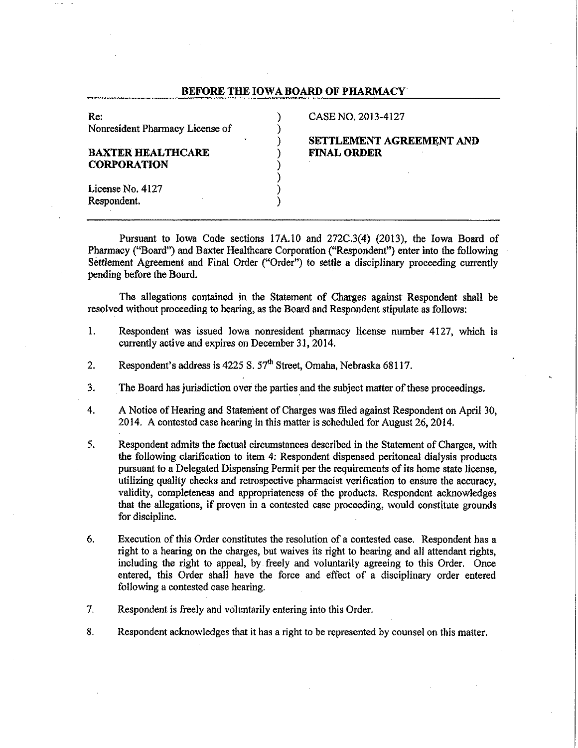#### **BEFORE THE IOWA BOARD OF PHARMACY**

Nonresident Pharmacy License of (1)

## **BAXTER HEALTHCARE**  $\qquad$   $)$ **CORPORATION** )

### Re: (2013-4127) CASE NO. 2013-4127

) **SETTLEMENT AGREEMENT AND** 

License No. 4127 Respondent.

Pursuant to Iowa Code sections 17A.IO and 272C.3(4) (2013), the Iowa Board of Pharmacy ("Board") and Baxter Healthcare Corporation ("Respondent") enter into the following Settlement Agreement and Final Order ("Order") to settle a disciplinary proceeding currently pending before the Board.

)

The allegations contained in the Statement of Charges against Respondent shall be resolved without proceeding to hearing, as the Board and Respondent stipulate as follows:

- 1. Respondent was issued Iowa nonresident pharmacy license number 4127, which is currently active and expires on December 31, 2014.
- 2. Respondent's address is  $4225 S. 57<sup>th</sup> Street$ , Omaha, Nebraska 68117.
- 3. The Board has jurisdiction over the parties and the subject matter of these proceedings.
- 4. A Notice of Hearing and Statement of Charges was filed against Respondent on April 30, 2014. A contested case hearing in this matter is scheduled for August 26, 2014.
- 5. Respondent admits the factual circumstances described in the Statement of Charges, with the following clarification to item 4: Respondent dispensed peritoneal dialysis products pursuant to a Delegated Dispensing Permit per the requirements of its home state license, utilizing quality checks and retrospective pharmacist verification to ensure the accuracy, validity, completeness and appropriateness of the products. Respondent acknowledges that the allegations, if proven in a contested case proceeding, would constitute grounds for discipline.
- 6. Execution of this Order constitutes the resolution of a contested case. Respondent has a right to a hearing on the charges, but waives its right to hearing and all attendant rights, including the right to appeal, by. freely and voluntarily agreeing to this Order. Once entered, this Order shall have the force and effect of a disciplinary order entered following a contested case hearing.
- 7. Respondent is freely and voluntarily entering into this Order.
- 8. Respondent acknowledges that it has a right to be represented by counsel on this matter.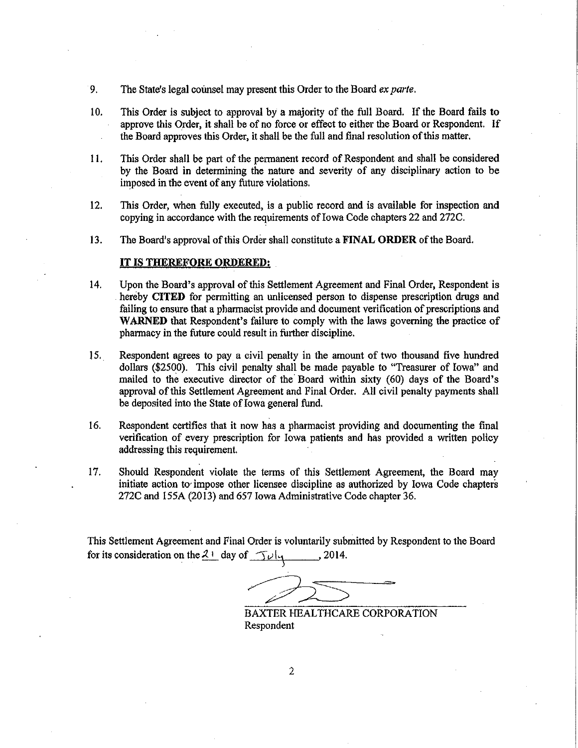- 9. The State's legal counsel may present this Order to the Board *ex parte.*
- 10. This Order is subject to approval by a majority of the full Board. If the Board fails to approve this Order, it shall be of no force or effect to either the Board or Respondent. If the Board approves this Order, it shall be the full and final resolution of this matter.
- 11. This Order shall be part of the permanent record of Respondent and shall be considered by the Board in determining the nature and severity of any disciplinary action to be imposed in the event of any future violations.
- 12. This Order, when fully executed, is a public record and is available for inspection and copying in accordance with the requirements of Iowa Code chapters 22 and 272C.
- 13. The Board's approval of this Order shall constitute a FINAL ORDER of the Board.

#### IT IS THEREFORE ORDERED:

- 14. Upon the Board's approval of this Settlement Agreement and Final Order, Respondent is hereby CITED for permitting an unlicensed person to dispense prescription drugs and failing to ensure that a pharmacist provide and document verification of prescriptions and WARNED that Respondent's failure to comply with the laws governing the practice of pharmacy in the future could result in further discipline.
- 15. Respondent agrees to pay a civil penalty in the amount of two thousand five hundred dollars (\$2500). This civil penalty shall be made payable to "Treasurer of Iowa" and mailed to the executive director of the· Board within sixty (60) days of the Board's approval of this Settlement Agreement and Final Order. All civil penalty payments shall be deposited into the State of Iowa general fund.
- 16. Respondent certifies that it now has a pharmacist providing and documenting the final verification of every prescription for Iowa patients and has provided a written policy addressing this requirement.
- 17. Should Respondent violate the terms of this Settlement Agreement, the Board may initiate action to· impose other licensee discipline as authorized by Iowa Code chapters 272C and 155A (2013) and 657 Iowa Administrative Code chapter 36.

This Settlement Agreement and Final Order is voluntarily submitted by Respondent to the Board for its consideration on the  $2 +$  day of  $\int v \, dy$ . 2014.

BAXTER HEALTHCARE CORPORATION Respondent